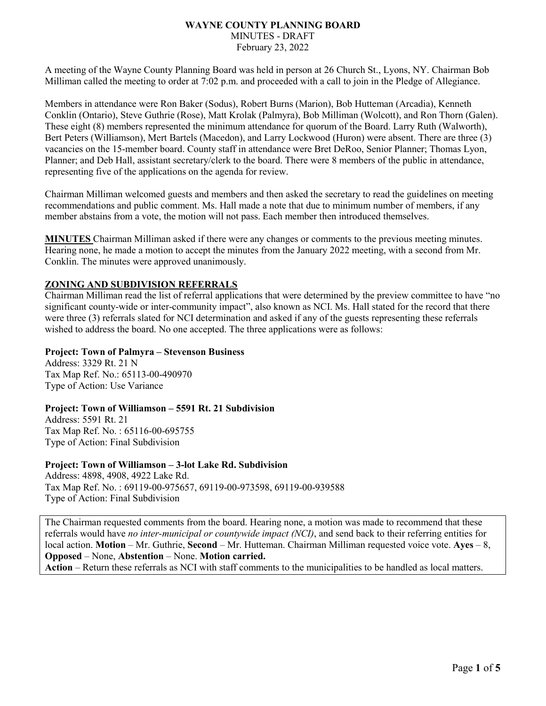#### **WAYNE COUNTY PLANNING BOARD** MINUTES - DRAFT February 23, 2022

A meeting of the Wayne County Planning Board was held in person at 26 Church St., Lyons, NY. Chairman Bob Milliman called the meeting to order at 7:02 p.m. and proceeded with a call to join in the Pledge of Allegiance.

Members in attendance were Ron Baker (Sodus), Robert Burns (Marion), Bob Hutteman (Arcadia), Kenneth Conklin (Ontario), Steve Guthrie (Rose), Matt Krolak (Palmyra), Bob Milliman (Wolcott), and Ron Thorn (Galen). These eight (8) members represented the minimum attendance for quorum of the Board. Larry Ruth (Walworth), Bert Peters (Williamson), Mert Bartels (Macedon), and Larry Lockwood (Huron) were absent. There are three (3) vacancies on the 15-member board. County staff in attendance were Bret DeRoo, Senior Planner; Thomas Lyon, Planner; and Deb Hall, assistant secretary/clerk to the board. There were 8 members of the public in attendance, representing five of the applications on the agenda for review.

Chairman Milliman welcomed guests and members and then asked the secretary to read the guidelines on meeting recommendations and public comment. Ms. Hall made a note that due to minimum number of members, if any member abstains from a vote, the motion will not pass. Each member then introduced themselves.

**MINUTES** Chairman Milliman asked if there were any changes or comments to the previous meeting minutes. Hearing none, he made a motion to accept the minutes from the January 2022 meeting, with a second from Mr. Conklin. The minutes were approved unanimously.

# **ZONING AND SUBDIVISION REFERRALS**

Chairman Milliman read the list of referral applications that were determined by the preview committee to have "no significant county-wide or inter-community impact", also known as NCI. Ms. Hall stated for the record that there were three (3) referrals slated for NCI determination and asked if any of the guests representing these referrals wished to address the board. No one accepted. The three applications were as follows:

### **Project: Town of Palmyra – Stevenson Business**

Address: 3329 Rt. 21 N Tax Map Ref. No.: 65113-00-490970 Type of Action: Use Variance

### **Project: Town of Williamson – 5591 Rt. 21 Subdivision**

Address: 5591 Rt. 21 Tax Map Ref. No. : 65116-00-695755 Type of Action: Final Subdivision

### **Project: Town of Williamson – 3-lot Lake Rd. Subdivision**

Address: 4898, 4908, 4922 Lake Rd. Tax Map Ref. No. : 69119-00-975657, 69119-00-973598, 69119-00-939588 Type of Action: Final Subdivision

The Chairman requested comments from the board. Hearing none, a motion was made to recommend that these referrals would have *no inter-municipal or countywide impact (NCI)*, and send back to their referring entities for local action. **Motion** – Mr. Guthrie, **Second** – Mr. Hutteman. Chairman Milliman requested voice vote. **Ayes** – 8, **Opposed** – None, **Abstention** – None. **Motion carried. Action** – Return these referrals as NCI with staff comments to the municipalities to be handled as local matters.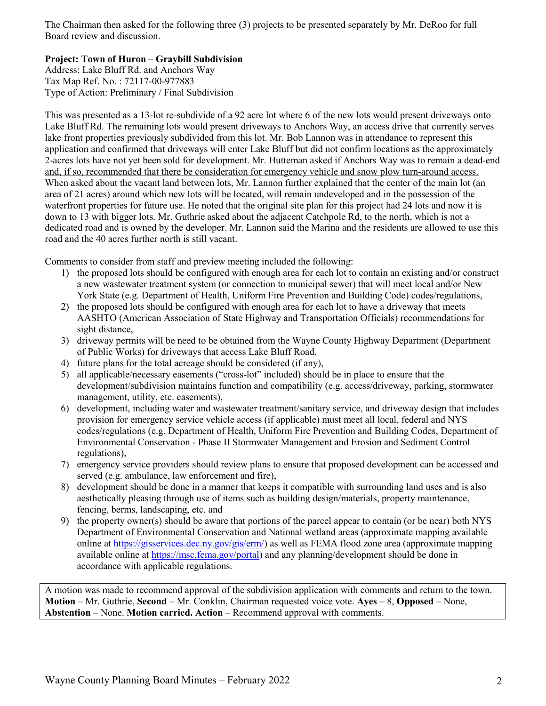The Chairman then asked for the following three (3) projects to be presented separately by Mr. DeRoo for full Board review and discussion.

# **Project: Town of Huron – Graybill Subdivision**

Address: Lake Bluff Rd. and Anchors Way Tax Map Ref. No. : 72117-00-977883 Type of Action: Preliminary / Final Subdivision

This was presented as a 13-lot re-subdivide of a 92 acre lot where 6 of the new lots would present driveways onto Lake Bluff Rd. The remaining lots would present driveways to Anchors Way, an access drive that currently serves lake front properties previously subdivided from this lot. Mr. Bob Lannon was in attendance to represent this application and confirmed that driveways will enter Lake Bluff but did not confirm locations as the approximately 2-acres lots have not yet been sold for development. Mr. Hutteman asked if Anchors Way was to remain a dead-end and, if so, recommended that there be consideration for emergency vehicle and snow plow turn-around access. When asked about the vacant land between lots, Mr. Lannon further explained that the center of the main lot (an area of 21 acres) around which new lots will be located, will remain undeveloped and in the possession of the waterfront properties for future use. He noted that the original site plan for this project had 24 lots and now it is down to 13 with bigger lots. Mr. Guthrie asked about the adjacent Catchpole Rd, to the north, which is not a dedicated road and is owned by the developer. Mr. Lannon said the Marina and the residents are allowed to use this road and the 40 acres further north is still vacant.

Comments to consider from staff and preview meeting included the following:

- 1) the proposed lots should be configured with enough area for each lot to contain an existing and/or construct a new wastewater treatment system (or connection to municipal sewer) that will meet local and/or New York State (e.g. Department of Health, Uniform Fire Prevention and Building Code) codes/regulations,
- 2) the proposed lots should be configured with enough area for each lot to have a driveway that meets AASHTO (American Association of State Highway and Transportation Officials) recommendations for sight distance,
- 3) driveway permits will be need to be obtained from the Wayne County Highway Department (Department of Public Works) for driveways that access Lake Bluff Road,
- 4) future plans for the total acreage should be considered (if any),
- 5) all applicable/necessary easements ("cross-lot" included) should be in place to ensure that the development/subdivision maintains function and compatibility (e.g. access/driveway, parking, stormwater management, utility, etc. easements),
- 6) development, including water and wastewater treatment/sanitary service, and driveway design that includes provision for emergency service vehicle access (if applicable) must meet all local, federal and NYS codes/regulations (e.g. Department of Health, Uniform Fire Prevention and Building Codes, Department of Environmental Conservation - Phase II Stormwater Management and Erosion and Sediment Control regulations),
- 7) emergency service providers should review plans to ensure that proposed development can be accessed and served (e.g. ambulance, law enforcement and fire),
- 8) development should be done in a manner that keeps it compatible with surrounding land uses and is also aesthetically pleasing through use of items such as building design/materials, property maintenance, fencing, berms, landscaping, etc. and
- 9) the property owner(s) should be aware that portions of the parcel appear to contain (or be near) both NYS Department of Environmental Conservation and National wetland areas (approximate mapping available online at [https://gisservices.dec.ny.gov/gis/erm/\)](https://gisservices.dec.ny.gov/gis/erm/) as well as FEMA flood zone area (approximate mapping available online at [https://msc.fema.gov/portal\)](https://msc.fema.gov/portal) and any planning/development should be done in accordance with applicable regulations.

A motion was made to recommend approval of the subdivision application with comments and return to the town. **Motion** – Mr. Guthrie, **Second** – Mr. Conklin, Chairman requested voice vote. **Ayes** – 8, **Opposed** – None, **Abstention** – None. **Motion carried. Action** – Recommend approval with comments.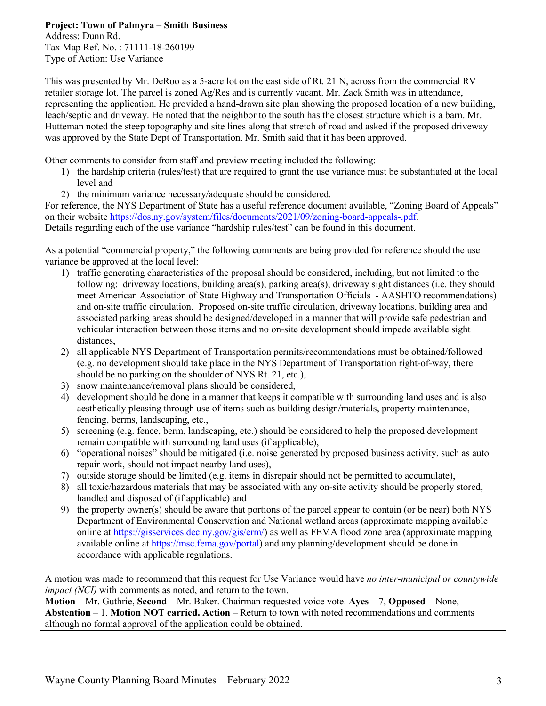# **Project: Town of Palmyra – Smith Business**

Address: Dunn Rd. Tax Map Ref. No. : 71111-18-260199 Type of Action: Use Variance

This was presented by Mr. DeRoo as a 5-acre lot on the east side of Rt. 21 N, across from the commercial RV retailer storage lot. The parcel is zoned Ag/Res and is currently vacant. Mr. Zack Smith was in attendance, representing the application. He provided a hand-drawn site plan showing the proposed location of a new building, leach/septic and driveway. He noted that the neighbor to the south has the closest structure which is a barn. Mr. Hutteman noted the steep topography and site lines along that stretch of road and asked if the proposed driveway was approved by the State Dept of Transportation. Mr. Smith said that it has been approved.

Other comments to consider from staff and preview meeting included the following:

- 1) the hardship criteria (rules/test) that are required to grant the use variance must be substantiated at the local level and
- 2) the minimum variance necessary/adequate should be considered.

For reference, the NYS Department of State has a useful reference document available, "Zoning Board of Appeals" on their website https://dos.ny.gov/system/files/documents/2021/09/zoning-board-appeals-.pdf. Details regarding each of the use variance "hardship rules/test" can be found in this document.

As a potential "commercial property," the following comments are being provided for reference should the use variance be approved at the local level:

- 1) traffic generating characteristics of the proposal should be considered, including, but not limited to the following: driveway locations, building area(s), parking area(s), driveway sight distances (i.e. they should meet American Association of State Highway and Transportation Officials - AASHTO recommendations) and on-site traffic circulation. Proposed on-site traffic circulation, driveway locations, building area and associated parking areas should be designed/developed in a manner that will provide safe pedestrian and vehicular interaction between those items and no on-site development should impede available sight distances,
- 2) all applicable NYS Department of Transportation permits/recommendations must be obtained/followed (e.g. no development should take place in the NYS Department of Transportation right-of-way, there should be no parking on the shoulder of NYS Rt. 21, etc.),
- 3) snow maintenance/removal plans should be considered,
- 4) development should be done in a manner that keeps it compatible with surrounding land uses and is also aesthetically pleasing through use of items such as building design/materials, property maintenance, fencing, berms, landscaping, etc.,
- 5) screening (e.g. fence, berm, landscaping, etc.) should be considered to help the proposed development remain compatible with surrounding land uses (if applicable),
- 6) "operational noises" should be mitigated (i.e. noise generated by proposed business activity, such as auto repair work, should not impact nearby land uses),
- 7) outside storage should be limited (e.g. items in disrepair should not be permitted to accumulate),
- 8) all toxic/hazardous materials that may be associated with any on-site activity should be properly stored, handled and disposed of (if applicable) and
- 9) the property owner(s) should be aware that portions of the parcel appear to contain (or be near) both NYS Department of Environmental Conservation and National wetland areas (approximate mapping available online at [https://gisservices.dec.ny.gov/gis/erm/\)](https://gisservices.dec.ny.gov/gis/erm/) as well as FEMA flood zone area (approximate mapping available online at [https://msc.fema.gov/portal\)](https://msc.fema.gov/portal) and any planning/development should be done in accordance with applicable regulations.

A motion was made to recommend that this request for Use Variance would have *no inter-municipal or countywide impact (NCI)* with comments as noted, and return to the town.

**Motion** – Mr. Guthrie, **Second** – Mr. Baker. Chairman requested voice vote. **Ayes** – 7, **Opposed** – None, **Abstention** – 1. **Motion NOT carried. Action** – Return to town with noted recommendations and comments although no formal approval of the application could be obtained.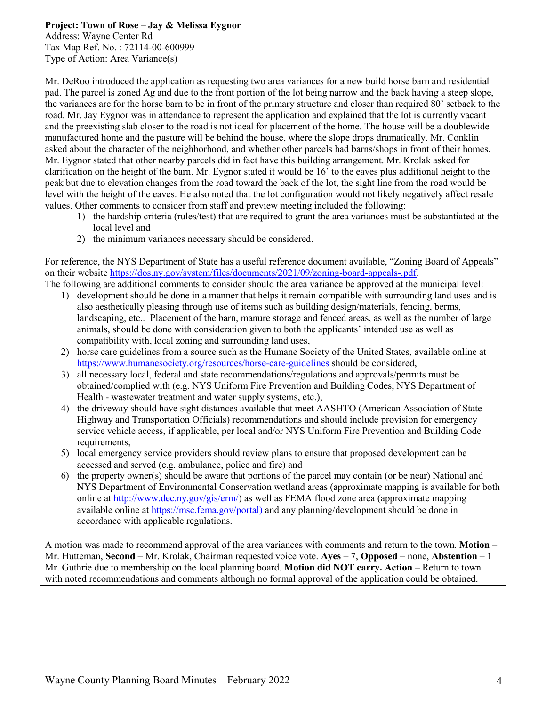### **Project: Town of Rose – Jay & Melissa Eygnor**

Address: Wayne Center Rd Tax Map Ref. No. : 72114-00-600999 Type of Action: Area Variance(s)

Mr. DeRoo introduced the application as requesting two area variances for a new build horse barn and residential pad. The parcel is zoned Ag and due to the front portion of the lot being narrow and the back having a steep slope, the variances are for the horse barn to be in front of the primary structure and closer than required 80' setback to the road. Mr. Jay Eygnor was in attendance to represent the application and explained that the lot is currently vacant and the preexisting slab closer to the road is not ideal for placement of the home. The house will be a doublewide manufactured home and the pasture will be behind the house, where the slope drops dramatically. Mr. Conklin asked about the character of the neighborhood, and whether other parcels had barns/shops in front of their homes. Mr. Eygnor stated that other nearby parcels did in fact have this building arrangement. Mr. Krolak asked for clarification on the height of the barn. Mr. Eygnor stated it would be 16' to the eaves plus additional height to the peak but due to elevation changes from the road toward the back of the lot, the sight line from the road would be level with the height of the eaves. He also noted that the lot configuration would not likely negatively affect resale values. Other comments to consider from staff and preview meeting included the following:

- 1) the hardship criteria (rules/test) that are required to grant the area variances must be substantiated at the local level and
- 2) the minimum variances necessary should be considered.

For reference, the NYS Department of State has a useful reference document available, "Zoning Board of Appeals" on their website https://dos.ny.gov/system/files/documents/2021/09/zoning-board-appeals-.pdf. The following are additional comments to consider should the area variance be approved at the municipal level:

- 1) development should be done in a manner that helps it remain compatible with surrounding land uses and is also aesthetically pleasing through use of items such as building design/materials, fencing, berms, landscaping, etc.. Placement of the barn, manure storage and fenced areas, as well as the number of large animals, should be done with consideration given to both the applicants' intended use as well as compatibility with, local zoning and surrounding land uses,
- 2) horse care guidelines from a source such as the Humane Society of the United States, available online at https://www.humanesociety.org/resources/horse-care-guidelines should be considered,
- 3) all necessary local, federal and state recommendations/regulations and approvals/permits must be obtained/complied with (e.g. NYS Uniform Fire Prevention and Building Codes, NYS Department of Health - wastewater treatment and water supply systems, etc.),
- 4) the driveway should have sight distances available that meet AASHTO (American Association of State Highway and Transportation Officials) recommendations and should include provision for emergency service vehicle access, if applicable, per local and/or NYS Uniform Fire Prevention and Building Code requirements,
- 5) local emergency service providers should review plans to ensure that proposed development can be accessed and served (e.g. ambulance, police and fire) and
- 6) the property owner(s) should be aware that portions of the parcel may contain (or be near) National and NYS Department of Environmental Conservation wetland areas (approximate mapping is available for both online at [http://www.dec.ny.gov/gis/erm/\)](http://www.dec.ny.gov/gis/erm/) as well as FEMA flood zone area (approximate mapping available online at [https://msc.fema.gov/portal\)](https://msc.fema.gov/portal) and any planning/development should be done in accordance with applicable regulations.

A motion was made to recommend approval of the area variances with comments and return to the town. **Motion** – Mr. Hutteman, **Second** – Mr. Krolak, Chairman requested voice vote. **Ayes** – 7, **Opposed** – none, **Abstention** – 1 Mr. Guthrie due to membership on the local planning board. **Motion did NOT carry. Action** – Return to town with noted recommendations and comments although no formal approval of the application could be obtained.